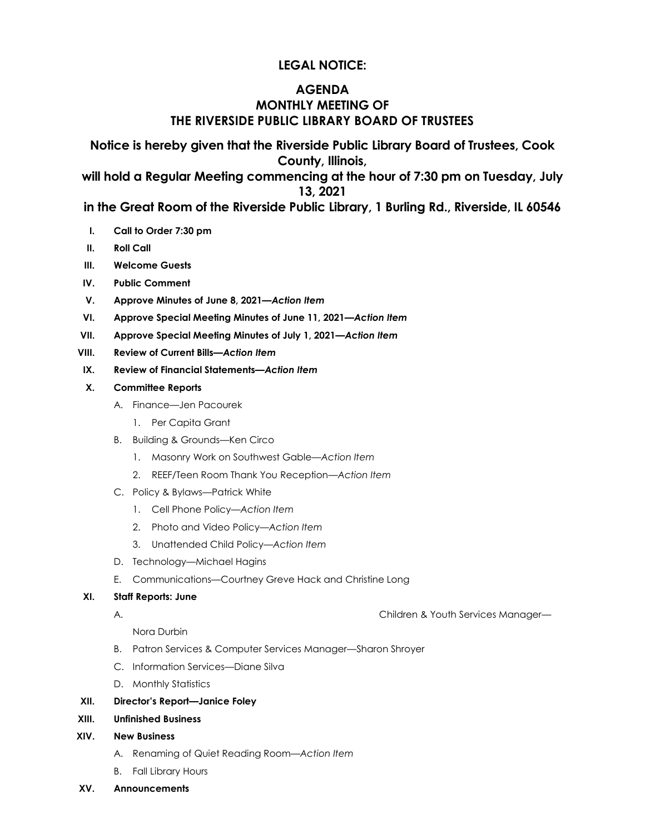# **LEGAL NOTICE:**

# **AGENDA MONTHLY MEETING OF THE RIVERSIDE PUBLIC LIBRARY BOARD OF TRUSTEES**

**Notice is hereby given that the Riverside Public Library Board of Trustees, Cook County, Illinois,** 

**will hold a Regular Meeting commencing at the hour of 7:30 pm on Tuesday, July 13, 2021** 

**in the Great Room of the Riverside Public Library, 1 Burling Rd., Riverside, IL 60546**

- **I. Call to Order 7:30 pm**
- **II. Roll Call**
- **III. Welcome Guests**
- **IV. Public Comment**
- **V. Approve Minutes of June 8, 2021***—Action Item*
- **VI. Approve Special Meeting Minutes of June 11, 2021***—Action Item*
- **VII. Approve Special Meeting Minutes of July 1, 2021***—Action Item*
- **VIII. Review of Current Bills***—Action Item*
- **IX. Review of Financial Statements***—Action Item*
- **X. Committee Reports**
	- A. Finance—Jen Pacourek
		- 1. Per Capita Grant
	- B. Building & Grounds—Ken Circo
		- 1. Masonry Work on Southwest Gable—*Action Item*
		- 2. REEF/Teen Room Thank You Reception—*Action Item*
	- C. Policy & Bylaws—Patrick White
		- 1. Cell Phone Policy*—Action Item*
		- 2. Photo and Video Policy—*Action Item*
		- 3. Unattended Child Policy—*Action Item*
	- D. Technology—Michael Hagins
	- E. Communications—Courtney Greve Hack and Christine Long

#### **XI. Staff Reports: June**

A. Children & Youth Services Manager—

Nora Durbin

- B. Patron Services & Computer Services Manager—Sharon Shroyer
- C. Information Services—Diane Silva
- D. Monthly Statistics

#### **XII. Director's Report—Janice Foley**

- **XIII. Unfinished Business**
- **XIV. New Business**
	- A. Renaming of Quiet Reading Room*—Action Item*
	- B. Fall Library Hours
- **XV. Announcements**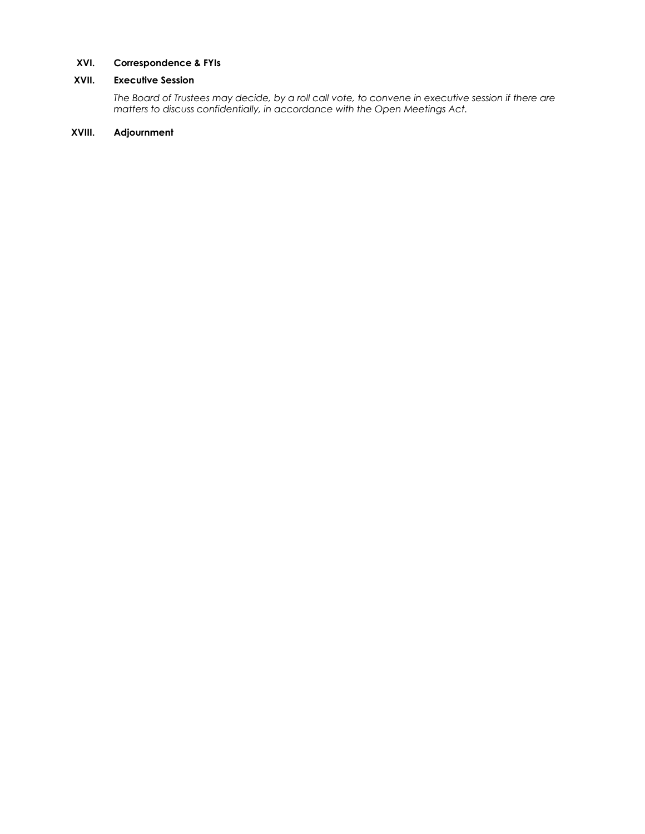#### **XVI. Correspondence & FYIs**

#### **XVII. Executive Session**

*The Board of Trustees may decide, by a roll call vote, to convene in executive session if there are matters to discuss confidentially, in accordance with the Open Meetings Act.*

#### **XVIII. Adjournment**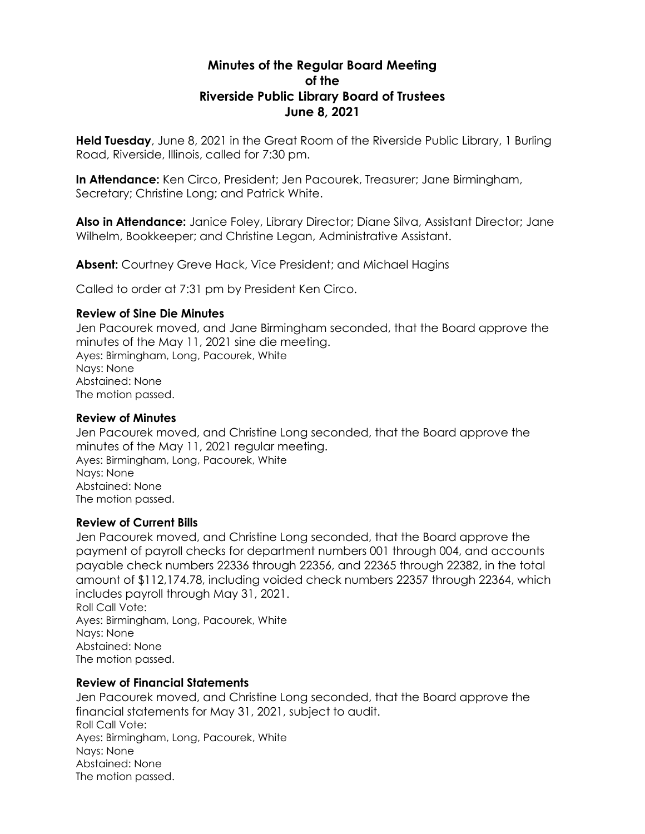# **Minutes of the Regular Board Meeting of the Riverside Public Library Board of Trustees June 8, 2021**

**Held Tuesday**, June 8, 2021 in the Great Room of the Riverside Public Library, 1 Burling Road, Riverside, Illinois, called for 7:30 pm.

**In Attendance:** Ken Circo, President; Jen Pacourek, Treasurer; Jane Birmingham, Secretary; Christine Long; and Patrick White.

**Also in Attendance:** Janice Foley, Library Director; Diane Silva, Assistant Director; Jane Wilhelm, Bookkeeper; and Christine Legan, Administrative Assistant.

**Absent:** Courtney Greve Hack, Vice President; and Michael Hagins

Called to order at 7:31 pm by President Ken Circo.

#### **Review of Sine Die Minutes**

Jen Pacourek moved, and Jane Birmingham seconded, that the Board approve the minutes of the May 11, 2021 sine die meeting. Ayes: Birmingham, Long, Pacourek, White Nays: None Abstained: None The motion passed.

#### **Review of Minutes**

Jen Pacourek moved, and Christine Long seconded, that the Board approve the minutes of the May 11, 2021 regular meeting. Ayes: Birmingham, Long, Pacourek, White Nays: None Abstained: None The motion passed.

# **Review of Current Bills**

Jen Pacourek moved, and Christine Long seconded, that the Board approve the payment of payroll checks for department numbers 001 through 004, and accounts payable check numbers 22336 through 22356, and 22365 through 22382, in the total amount of \$112,174.78, including voided check numbers 22357 through 22364, which includes payroll through May 31, 2021. Roll Call Vote:

Ayes: Birmingham, Long, Pacourek, White Nays: None Abstained: None The motion passed.

# **Review of Financial Statements**

Jen Pacourek moved, and Christine Long seconded, that the Board approve the financial statements for May 31, 2021, subject to audit. Roll Call Vote: Ayes: Birmingham, Long, Pacourek, White Nays: None Abstained: None The motion passed.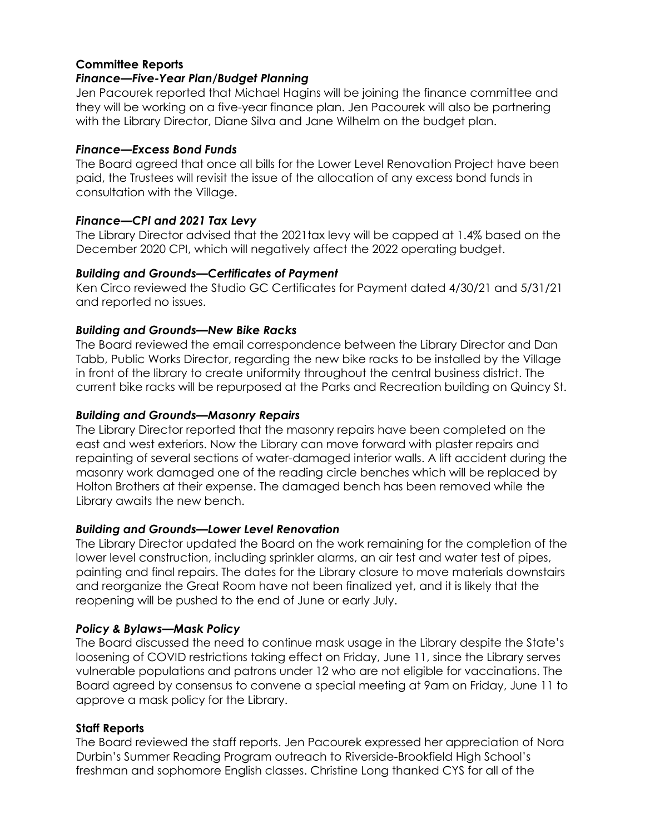# **Committee Reports**

#### *Finance—Five-Year Plan/Budget Planning*

Jen Pacourek reported that Michael Hagins will be joining the finance committee and they will be working on a five-year finance plan. Jen Pacourek will also be partnering with the Library Director, Diane Silva and Jane Wilhelm on the budget plan.

#### *Finance—Excess Bond Funds*

The Board agreed that once all bills for the Lower Level Renovation Project have been paid, the Trustees will revisit the issue of the allocation of any excess bond funds in consultation with the Village.

# *Finance—CPI and 2021 Tax Levy*

The Library Director advised that the 2021tax levy will be capped at 1.4% based on the December 2020 CPI, which will negatively affect the 2022 operating budget.

# *Building and Grounds—Certificates of Payment*

Ken Circo reviewed the Studio GC Certificates for Payment dated 4/30/21 and 5/31/21 and reported no issues.

# *Building and Grounds—New Bike Racks*

The Board reviewed the email correspondence between the Library Director and Dan Tabb, Public Works Director, regarding the new bike racks to be installed by the Village in front of the library to create uniformity throughout the central business district. The current bike racks will be repurposed at the Parks and Recreation building on Quincy St.

# *Building and Grounds—Masonry Repairs*

The Library Director reported that the masonry repairs have been completed on the east and west exteriors. Now the Library can move forward with plaster repairs and repainting of several sections of water-damaged interior walls. A lift accident during the masonry work damaged one of the reading circle benches which will be replaced by Holton Brothers at their expense. The damaged bench has been removed while the Library awaits the new bench.

# *Building and Grounds—Lower Level Renovation*

The Library Director updated the Board on the work remaining for the completion of the lower level construction, including sprinkler alarms, an air test and water test of pipes, painting and final repairs. The dates for the Library closure to move materials downstairs and reorganize the Great Room have not been finalized yet, and it is likely that the reopening will be pushed to the end of June or early July.

# *Policy & Bylaws—Mask Policy*

The Board discussed the need to continue mask usage in the Library despite the State's loosening of COVID restrictions taking effect on Friday, June 11, since the Library serves vulnerable populations and patrons under 12 who are not eligible for vaccinations. The Board agreed by consensus to convene a special meeting at 9am on Friday, June 11 to approve a mask policy for the Library.

# **Staff Reports**

The Board reviewed the staff reports. Jen Pacourek expressed her appreciation of Nora Durbin's Summer Reading Program outreach to Riverside-Brookfield High School's freshman and sophomore English classes. Christine Long thanked CYS for all of the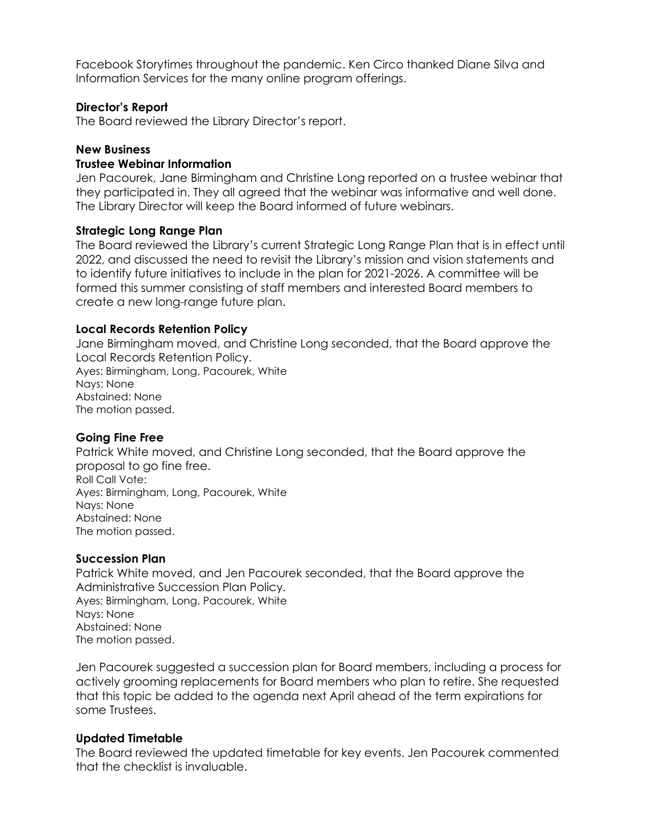Facebook Storytimes throughout the pandemic. Ken Circo thanked Diane Silva and Information Services for the many online program offerings.

# **Director's Report**

The Board reviewed the Library Director's report.

# **New Business**

#### **Trustee Webinar Information**

Jen Pacourek, Jane Birmingham and Christine Long reported on a trustee webinar that they participated in. They all agreed that the webinar was informative and well done. The Library Director will keep the Board informed of future webinars.

# **Strategic Long Range Plan**

The Board reviewed the Library's current Strategic Long Range Plan that is in effect until 2022, and discussed the need to revisit the Library's mission and vision statements and to identify future initiatives to include in the plan for 2021-2026. A committee will be formed this summer consisting of staff members and interested Board members to create a new long-range future plan.

#### **Local Records Retention Policy**

Jane Birmingham moved, and Christine Long seconded, that the Board approve the Local Records Retention Policy. Ayes: Birmingham, Long, Pacourek, White Nays: None Abstained: None The motion passed.

# **Going Fine Free**

Patrick White moved, and Christine Long seconded, that the Board approve the proposal to go fine free. Roll Call Vote: Ayes: Birmingham, Long, Pacourek, White Nays: None Abstained: None The motion passed.

#### **Succession Plan**

Patrick White moved, and Jen Pacourek seconded, that the Board approve the Administrative Succession Plan Policy. Ayes: Birmingham, Long, Pacourek, White Nays: None Abstained: None The motion passed.

Jen Pacourek suggested a succession plan for Board members, including a process for actively grooming replacements for Board members who plan to retire. She requested that this topic be added to the agenda next April ahead of the term expirations for some Trustees.

# **Updated Timetable**

The Board reviewed the updated timetable for key events. Jen Pacourek commented that the checklist is invaluable.